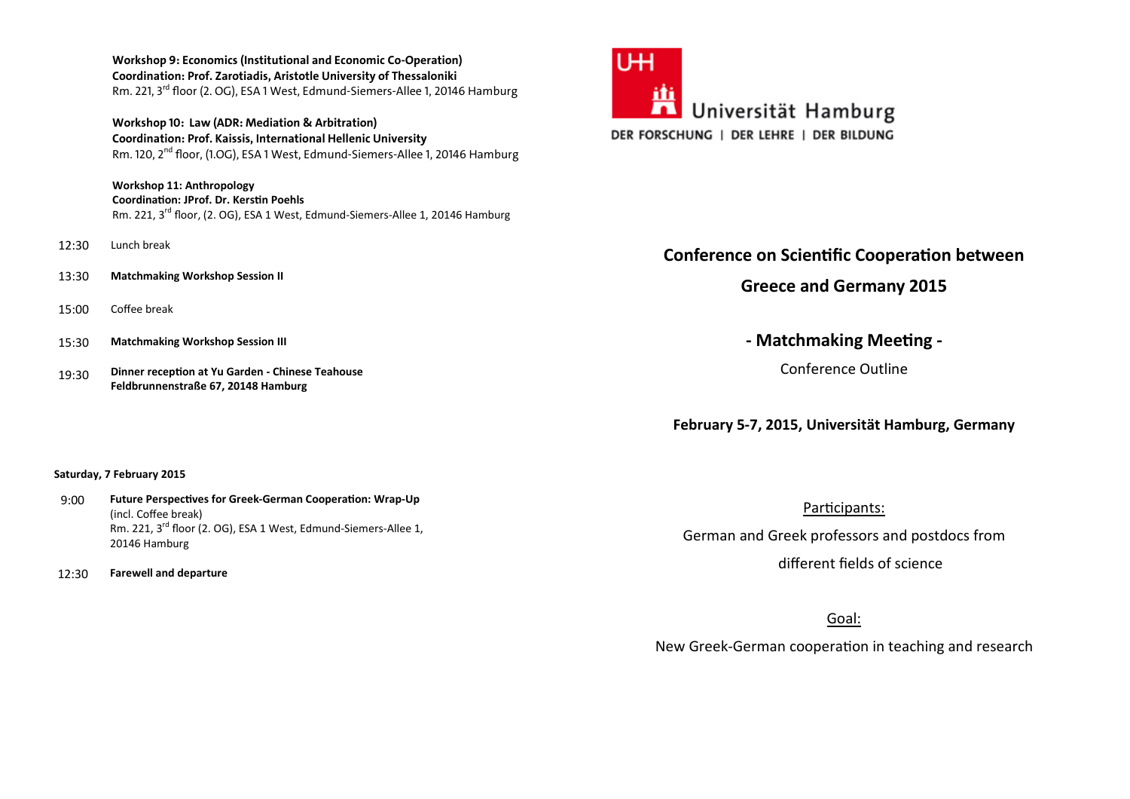**Workshop 9: Economics (Institutional and Economic Co-Operation) Coordination: Prof. Zarotiadis, Aristotle University of Thessaloniki**Rm. 221, 3<sup>rd</sup> floor (2. OG), ESA 1 West, Edmund-Siemers-Allee 1, 20146 Hamburg

**Workshop 10: Law (ADR: Mediation & Arbitration) Coordination: Prof. Kaissis, International Hellenic University**Rm. 120, 2<sup>nd</sup> floor, (1.OG), ESA 1 West, Edmund-Siemers-Allee 1, 20146 Hamburg

**Workshop 11: AnthropologyCoordination: JProf. Dr. Kerstin Poehls** Rm. 221, 3<sup>rd</sup> floor, (2. OG), ESA 1 West, Edmund-Siemers-Allee 1, 20146 Hamburg

- 12:30 Lunch break
- 13:30 **Matchmaking Workshop Session II**
- 15:00 Coffee break
- 15:30 **Matchmaking Workshop Session III**
- 19:30 **Dinner reception at Yu Garden - Chinese Teahouse Feldbrunnenstraße 67, 20148 Hamburg**

### **Saturday, 7 February 2015**

9:00 **Future Perspectives for Greek-German Cooperation: Wrap-Up** (incl. Coffee break) Rm. 221, 3<sup>rd</sup> floor (2. OG), ESA 1 West, Edmund-Siemers-Allee 1, 20146 Hamburg

12:30 **Farewell and departure** 



# **Conference on Scientific Cooperation between**

**Greece and Germany 2015** 

**- Matchmaking Meeting -**

Conference Outline

**February 5-7, 2015, Universität Hamburg, Germany** 

Participants: German and Greek professors and postdocs from different fields of science

Goal:

New Greek-German cooperation in teaching and research